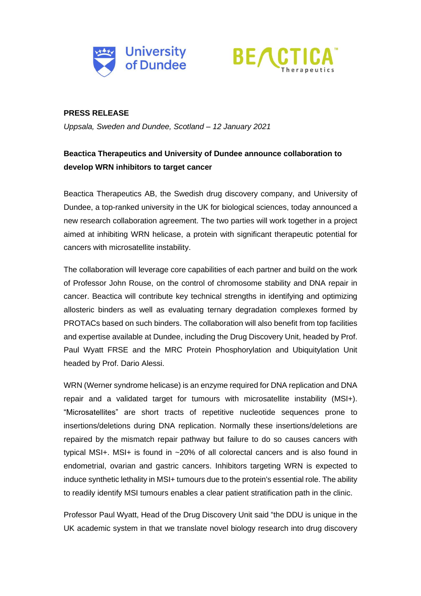



### **PRESS RELEASE**

*Uppsala, Sweden and Dundee, Scotland – 12 January 2021*

## **Beactica Therapeutics and University of Dundee announce collaboration to develop WRN inhibitors to target cancer**

Beactica Therapeutics AB, the Swedish drug discovery company, and University of Dundee, a top-ranked university in the UK for biological sciences, today announced a new research collaboration agreement. The two parties will work together in a project aimed at inhibiting WRN helicase, a protein with significant therapeutic potential for cancers with microsatellite instability.

The collaboration will leverage core capabilities of each partner and build on the work of Professor John Rouse, on the control of chromosome stability and DNA repair in cancer. Beactica will contribute key technical strengths in identifying and optimizing allosteric binders as well as evaluating ternary degradation complexes formed by PROTACs based on such binders. The collaboration will also benefit from top facilities and expertise available at Dundee, including the Drug Discovery Unit, headed by Prof. Paul Wyatt FRSE and the MRC Protein Phosphorylation and Ubiquitylation Unit headed by Prof. Dario Alessi.

WRN (Werner syndrome helicase) is an enzyme required for DNA replication and DNA repair and a validated target for tumours with microsatellite instability (MSI+). "Microsatellites" are short tracts of repetitive nucleotide sequences prone to insertions/deletions during DNA replication. Normally these insertions/deletions are repaired by the mismatch repair pathway but failure to do so causes cancers with typical MSI+. MSI+ is found in ~20% of all colorectal cancers and is also found in endometrial, ovarian and gastric cancers. Inhibitors targeting WRN is expected to induce synthetic lethality in MSI+ tumours due to the protein's essential role. The ability to readily identify MSI tumours enables a clear patient stratification path in the clinic.

Professor Paul Wyatt, Head of the Drug Discovery Unit said "the DDU is unique in the UK academic system in that we translate novel biology research into drug discovery